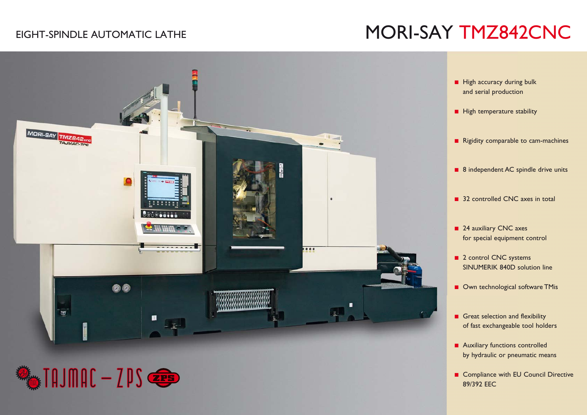# EIGHT-SPINDLE AUTOMATIC LATHE NEWSLEEP SAND MORI-SAY TMZ842CNC



**ESS** THUMAC - ZPS

**E** Compliance with EU Council Directive 89/392 EEC